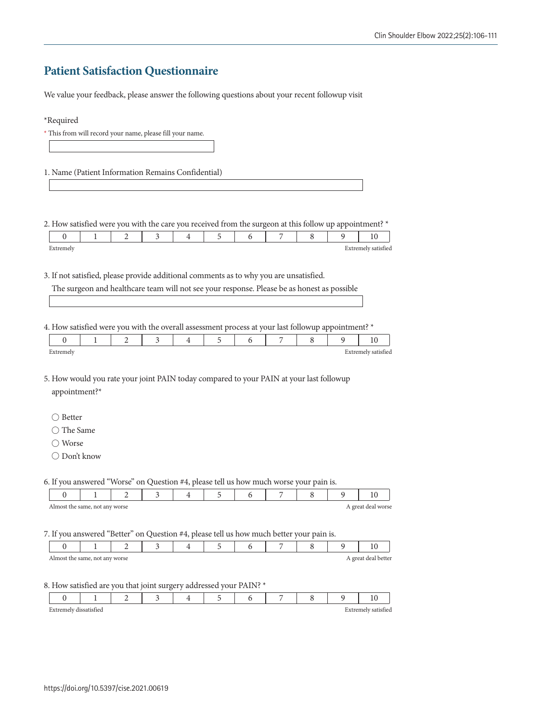## **Patient Satisfaction Questionnaire**

We value your feedback, please answer the following questions about your recent followup visit

| 1. Name (Patient Information Remains Confidential)                                                                                                                                                  |                |   |   |   |   |   |   |   |                     |
|-----------------------------------------------------------------------------------------------------------------------------------------------------------------------------------------------------|----------------|---|---|---|---|---|---|---|---------------------|
|                                                                                                                                                                                                     |                |   |   |   |   |   |   |   |                     |
|                                                                                                                                                                                                     |                |   |   |   |   |   |   |   |                     |
| 2. How satisfied were you with the care you received from the surgeon at this follow up appointment? *                                                                                              |                |   |   |   |   |   |   |   |                     |
| 0<br>1                                                                                                                                                                                              | 2              | 3 | 4 | 5 | 6 | 7 | 8 | 9 | 10                  |
| Extremely                                                                                                                                                                                           |                |   |   |   |   |   |   |   | Extremely satisfied |
|                                                                                                                                                                                                     |                |   |   |   |   |   |   |   |                     |
| 3. If not satisfied, please provide additional comments as to why you are unsatisfied.                                                                                                              |                |   |   |   |   |   |   |   |                     |
| The surgeon and healthcare team will not see your response. Please be as honest as possible                                                                                                         |                |   |   |   |   |   |   |   |                     |
|                                                                                                                                                                                                     |                |   |   |   |   |   |   |   |                     |
|                                                                                                                                                                                                     |                |   |   |   |   |   |   |   |                     |
|                                                                                                                                                                                                     |                |   |   |   |   |   |   |   |                     |
| 4. How satisfied were you with the overall assessment process at your last followup appointment? *                                                                                                  |                |   |   |   |   |   |   |   |                     |
| $\overline{0}$<br>$\mathbf{1}$                                                                                                                                                                      | 2              | 3 | 4 | 5 | 6 | 7 | 8 | 9 | 10                  |
|                                                                                                                                                                                                     |                |   |   |   |   |   |   |   |                     |
|                                                                                                                                                                                                     |                |   |   |   |   |   |   |   | Extremely satisfied |
|                                                                                                                                                                                                     |                |   |   |   |   |   |   |   |                     |
|                                                                                                                                                                                                     |                |   |   |   |   |   |   |   |                     |
|                                                                                                                                                                                                     |                |   |   |   |   |   |   |   |                     |
| appointment?*                                                                                                                                                                                       |                |   |   |   |   |   |   |   |                     |
|                                                                                                                                                                                                     |                |   |   |   |   |   |   |   |                     |
| $\bigcirc$ Better                                                                                                                                                                                   |                |   |   |   |   |   |   |   |                     |
| $\bigcirc$ The Same                                                                                                                                                                                 |                |   |   |   |   |   |   |   |                     |
| ◯ Worse                                                                                                                                                                                             |                |   |   |   |   |   |   |   |                     |
| Extremely<br>◯ Don't know                                                                                                                                                                           |                |   |   |   |   |   |   |   |                     |
| 5. How would you rate your joint PAIN today compared to your PAIN at your last followup                                                                                                             |                |   |   |   |   |   |   |   |                     |
|                                                                                                                                                                                                     |                |   |   |   |   |   |   |   |                     |
| 0<br>1                                                                                                                                                                                              | 2              | 3 | 4 | 5 | 6 | 7 | 8 | 9 | 10                  |
|                                                                                                                                                                                                     |                |   |   |   |   |   |   |   | A great deal worse  |
| Almost the same, not any worse                                                                                                                                                                      |                |   |   |   |   |   |   |   |                     |
|                                                                                                                                                                                                     |                |   |   |   |   |   |   |   |                     |
| 6. If you answered "Worse" on Question #4, please tell us how much worse your pain is.<br>7. If you answered "Better" on Question #4, please tell us how much better your pain is.<br>$\theta$<br>1 | $\overline{2}$ | 3 | 4 | 5 | 6 | 7 | 8 | 9 | 10                  |

## 8. How satisfied are you that joint surgery addressed your PAIN? \*

|  |  |  |  | $\overline{\phantom{a}}$ |  |  |
|--|--|--|--|--------------------------|--|--|
|  |  |  |  |                          |  |  |